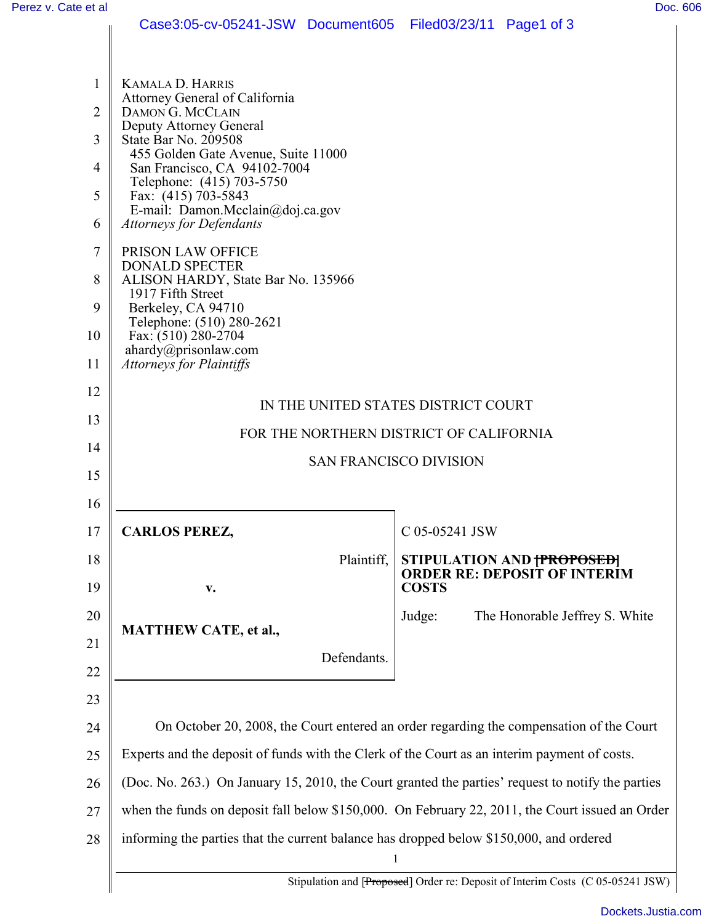|                | Case3:05-cv-05241-JSW Document605                                                                 | Filed $03/23/11$ Page1 of 3                                                  |  |
|----------------|---------------------------------------------------------------------------------------------------|------------------------------------------------------------------------------|--|
|                |                                                                                                   |                                                                              |  |
| 1              | <b>KAMALA D. HARRIS</b>                                                                           |                                                                              |  |
| $\overline{2}$ | Attorney General of California<br>DAMON G. MCCLAIN                                                |                                                                              |  |
| 3              | Deputy Attorney General<br>State Bar No. 209508                                                   |                                                                              |  |
| 4              | 455 Golden Gate Avenue, Suite 11000<br>San Francisco, CA 94102-7004                               |                                                                              |  |
| 5              | Telephone: (415) 703-5750<br>Fax: (415) 703-5843                                                  |                                                                              |  |
| 6              | E-mail: Damon.Mcclain@doj.ca.gov<br><b>Attorneys for Defendants</b>                               |                                                                              |  |
| 7              | PRISON LAW OFFICE                                                                                 |                                                                              |  |
| 8              | <b>DONALD SPECTER</b><br>ALISON HARDY, State Bar No. 135966<br>1917 Fifth Street                  |                                                                              |  |
| 9              | Berkeley, CA 94710                                                                                |                                                                              |  |
| 10             | Telephone: (510) 280-2621<br>Fax: $(510)$ 280-2704                                                |                                                                              |  |
| 11             | ahardy@prisonlaw.com<br><b>Attorneys for Plaintiffs</b>                                           |                                                                              |  |
| 12             | IN THE UNITED STATES DISTRICT COURT                                                               |                                                                              |  |
| 13             | FOR THE NORTHERN DISTRICT OF CALIFORNIA                                                           |                                                                              |  |
| 14             | <b>SAN FRANCISCO DIVISION</b>                                                                     |                                                                              |  |
| 15             |                                                                                                   |                                                                              |  |
| 16             |                                                                                                   |                                                                              |  |
| 17             | <b>CARLOS PEREZ,</b>                                                                              | C 05-05241 JSW                                                               |  |
| 18             | Plaintiff,                                                                                        | STIPULATION AND <del>[PROPOSED]</del><br><b>ORDER RE: DEPOSIT OF INTERIM</b> |  |
| 19             | $\mathbf{V}$ .                                                                                    | <b>COSTS</b>                                                                 |  |
| 20             | <b>MATTHEW CATE, et al.,</b>                                                                      | The Honorable Jeffrey S. White<br>Judge:                                     |  |
| 21             | Defendants.                                                                                       |                                                                              |  |
| 22             |                                                                                                   |                                                                              |  |
| 23             |                                                                                                   |                                                                              |  |
| 24             | On October 20, 2008, the Court entered an order regarding the compensation of the Court           |                                                                              |  |
| 25             | Experts and the deposit of funds with the Clerk of the Court as an interim payment of costs.      |                                                                              |  |
| 26             | (Doc. No. 263.) On January 15, 2010, the Court granted the parties' request to notify the parties |                                                                              |  |
| 27             | when the funds on deposit fall below \$150,000. On February 22, 2011, the Court issued an Order   |                                                                              |  |
| 28             | informing the parties that the current balance has dropped below \$150,000, and ordered           |                                                                              |  |
|                | Stipulation and [Proposed] Order re: Deposit of Interim Costs (C 05-05241 JSW)                    |                                                                              |  |
|                |                                                                                                   |                                                                              |  |